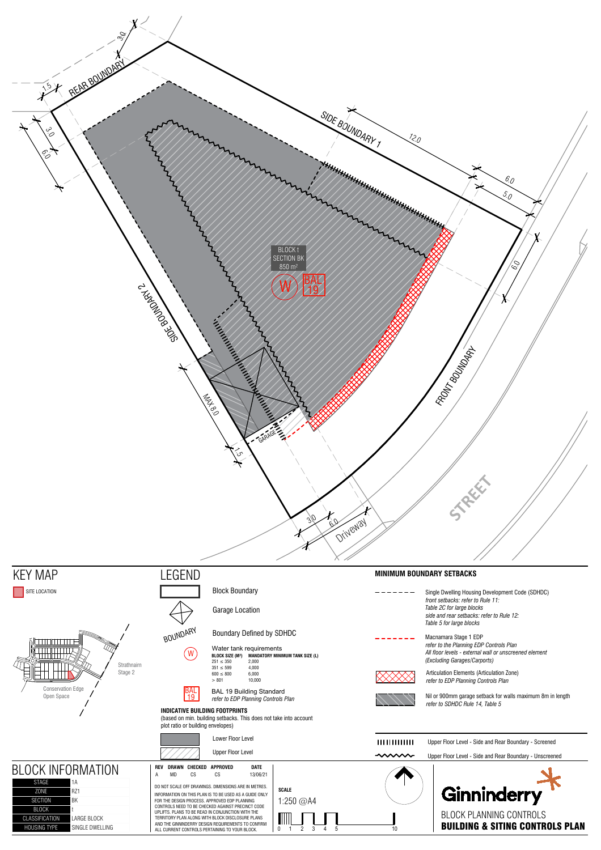